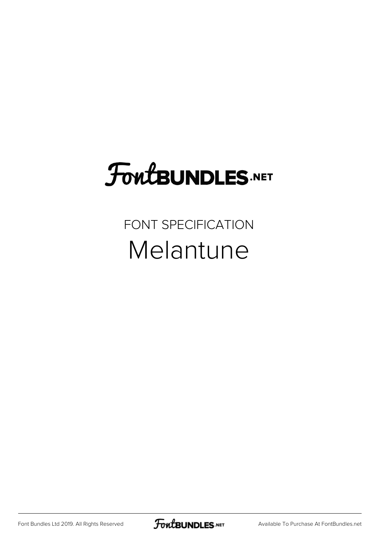## **FoutBUNDLES.NET**

FONT SPECIFICATION Melantune

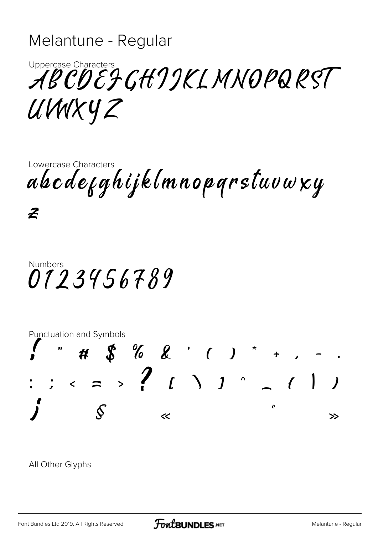## Melantune - Regular

Uppercase Characters<br>ABCDEFGHJJKLMNOPQRST UWXYZ

Lowercase Characters abcdekghijklmnopgrstuvwxy

 $\boldsymbol{z}$ 

## **Numbers** 0123456789



All Other Glyphs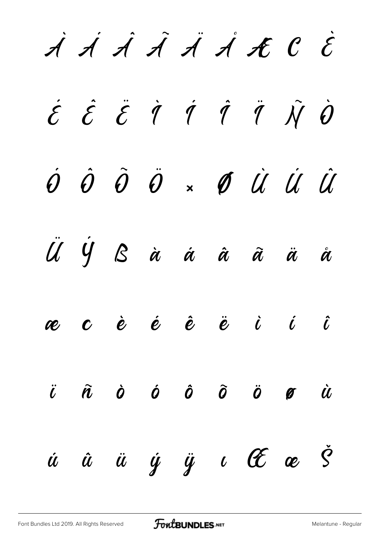$\dot{A}$   $\dot{A}$   $\dot{A}$   $\dot{A}$   $\dot{A}$   $\dot{A}$   $\dot{C}$   $\dot{C}$  $\acute{\mathcal{E}}$   $\acute{\mathcal{E}}$   $\acute{\mathcal{I}}$   $\acute{\mathcal{I}}$   $\acute{\mathcal{I}}$   $\acute{\mathcal{I}}$   $\ddot{\mathcal{J}}$   $\ddot{\mathcal{J}}$   $\ddot{\mathcal{J}}$   $\ddot{\mathcal{J}}$ Ó Ô Õ Ö × Ø Ù Ú Û  $\overline{U}$  is a  $\overline{U}$  is a  $\overline{U}$  is a  $\overline{U}$ æ ç è é ê ë ì í î ï ñ ò ó ô õ ö ø ù ú û ü ý ÿ ı Œ œ Š